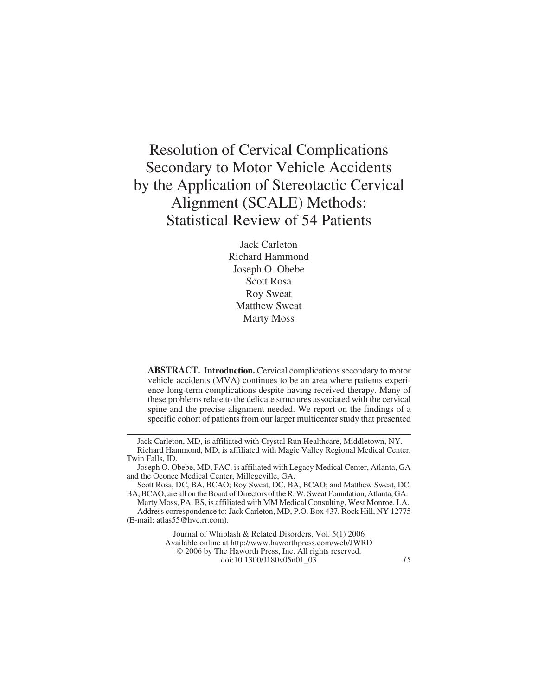# Resolution of Cervical Complications Secondary to Motor Vehicle Accidents by the Application of Stereotactic Cervical Alignment (SCALE) Methods: Statistical Review of 54 Patients

Jack Carleton Richard Hammond Joseph O. Obebe Scott Rosa Roy Sweat Matthew Sweat Marty Moss

**ABSTRACT. Introduction.** Cervical complications secondary to motor vehicle accidents (MVA) continues to be an area where patients experience long-term complications despite having received therapy. Many of these problems relate to the delicate structures associated with the cervical spine and the precise alignment needed. We report on the findings of a specific cohort of patients from our larger multicenter study that presented

Journal of Whiplash & Related Disorders, Vol. 5(1) 2006 Available online at<http://www.haworthpress.com/web/JWRD> © 2006 by The Haworth Press, Inc. All rights reserved. doi:10.1300/J180v05n01\_03 *15*

Jack Carleton, MD, is affiliated with Crystal Run Healthcare, Middletown, NY. Richard Hammond, MD, is affiliated with Magic Valley Regional Medical Center, Twin Falls, ID.

Joseph O. Obebe, MD, FAC, is affiliated with Legacy Medical Center, Atlanta, GA and the Oconee Medical Center, Millegeville, GA.

Scott Rosa, DC, BA, BCAO; Roy Sweat, DC, BA, BCAO; and Matthew Sweat, DC, BA, BCAO; are all on the Board of Directors of the R. W. Sweat Foundation, Atlanta, GA.

Marty Moss, PA, BS, is affiliated with MM Medical Consulting, West Monroe, LA. Address correspondence to: Jack Carleton, MD, P.O. Box 437, Rock Hill, NY 12775 (E-mail: [atlas55@hvc.rr.com](mailto:atlas55@hvc.rr.com)).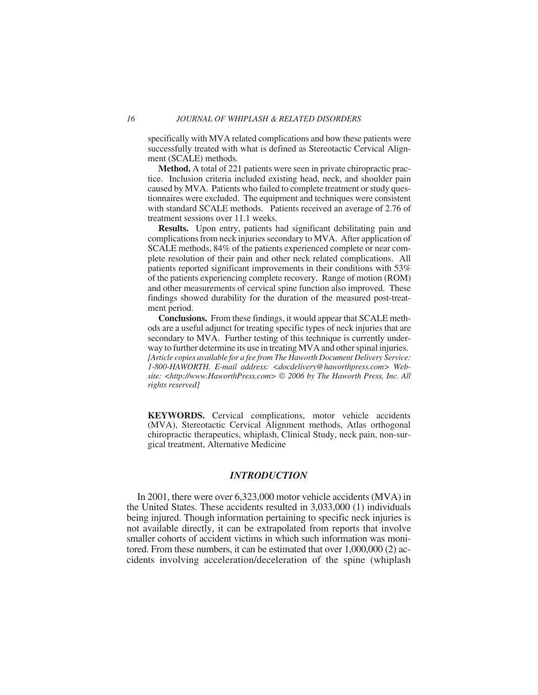specifically with MVA related complications and how these patients were successfully treated with what is defined as Stereotactic Cervical Alignment (SCALE) methods.

**Method.** A total of 221 patients were seen in private chiropractic practice. Inclusion criteria included existing head, neck, and shoulder pain caused by MVA. Patients who failed to complete treatment or study questionnaires were excluded. The equipment and techniques were consistent with standard SCALE methods. Patients received an average of 2.76 of treatment sessions over 11.1 weeks.

**Results.** Upon entry, patients had significant debilitating pain and complications from neck injuries secondary to MVA. After application of SCALE methods, 84% of the patients experienced complete or near complete resolution of their pain and other neck related complications. All patients reported significant improvements in their conditions with 53% of the patients experiencing complete recovery. Range of motion (ROM) and other measurements of cervical spine function also improved. These findings showed durability for the duration of the measured post-treatment period.

**Conclusions.** From these findings, it would appear that SCALE methods are a useful adjunct for treating specific types of neck injuries that are secondary to MVA. Further testing of this technique is currently underway to further determine its use in treating MVA and other spinal injuries. *[Article copies available for a fee from The Haworth Document Delivery Service: 1-800-HAWORTH. E-mail address: [<docdelivery@haworthpress.com>](mailto:docdelivery@haworthpress.com) Website: [<http://www.HaworthPress.com>](http://www.HaworthPress.com)* © *2006 by The Haworth Press, Inc. All rights reserved]*

**KEYWORDS.** Cervical complications, motor vehicle accidents (MVA), Stereotactic Cervical Alignment methods, Atlas orthogonal chiropractic therapeutics, whiplash, Clinical Study, neck pain, non-surgical treatment, Alternative Medicine

## *INTRODUCTION*

In 2001, there were over 6,323,000 motor vehicle accidents (MVA) in the United States. These accidents resulted in 3,033,000 (1) individuals being injured. Though information pertaining to specific neck injuries is not available directly, it can be extrapolated from reports that involve smaller cohorts of accident victims in which such information was monitored. From these numbers, it can be estimated that over 1,000,000 (2) accidents involving acceleration/deceleration of the spine (whiplash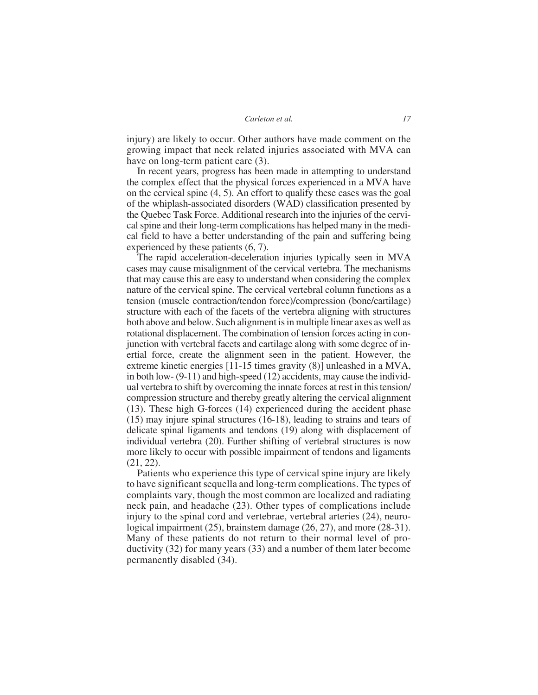injury) are likely to occur. Other authors have made comment on the growing impact that neck related injuries associated with MVA can have on long-term patient care (3).

In recent years, progress has been made in attempting to understand the complex effect that the physical forces experienced in a MVA have on the cervical spine (4, 5). An effort to qualify these cases was the goal of the whiplash-associated disorders (WAD) classification presented by the Quebec Task Force. Additional research into the injuries of the cervical spine and their long-term complications has helped many in the medical field to have a better understanding of the pain and suffering being experienced by these patients (6, 7).

The rapid acceleration-deceleration injuries typically seen in MVA cases may cause misalignment of the cervical vertebra. The mechanisms that may cause this are easy to understand when considering the complex nature of the cervical spine. The cervical vertebral column functions as a tension (muscle contraction/tendon force)/compression (bone/cartilage) structure with each of the facets of the vertebra aligning with structures both above and below. Such alignment is in multiple linear axes as well as rotational displacement. The combination of tension forces acting in conjunction with vertebral facets and cartilage along with some degree of inertial force, create the alignment seen in the patient. However, the extreme kinetic energies [11-15 times gravity (8)] unleashed in a MVA, in both low- (9-11) and high-speed (12) accidents, may cause the individual vertebra to shift by overcoming the innate forces at rest in this tension/ compression structure and thereby greatly altering the cervical alignment (13). These high G-forces (14) experienced during the accident phase (15) may injure spinal structures (16-18), leading to strains and tears of delicate spinal ligaments and tendons (19) along with displacement of individual vertebra (20). Further shifting of vertebral structures is now more likely to occur with possible impairment of tendons and ligaments (21, 22).

Patients who experience this type of cervical spine injury are likely to have significant sequella and long-term complications. The types of complaints vary, though the most common are localized and radiating neck pain, and headache (23). Other types of complications include injury to the spinal cord and vertebrae, vertebral arteries (24), neurological impairment (25), brainstem damage (26, 27), and more (28-31). Many of these patients do not return to their normal level of productivity (32) for many years (33) and a number of them later become permanently disabled (34).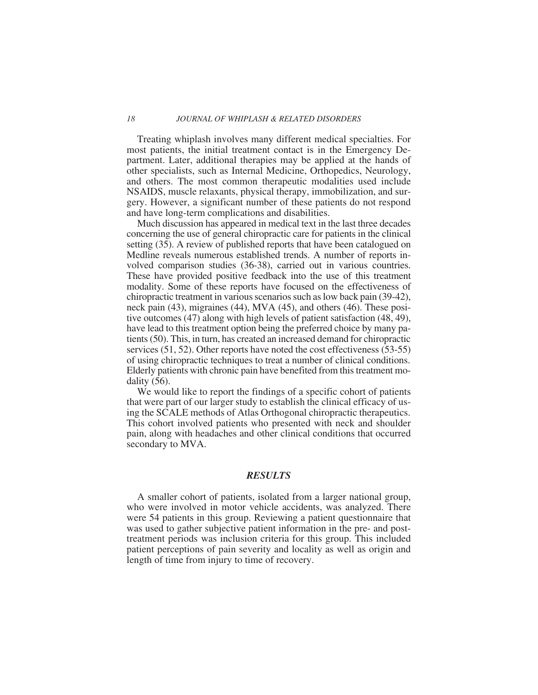#### *18 JOURNAL OF WHIPLASH & RELATED DISORDERS*

Treating whiplash involves many different medical specialties. For most patients, the initial treatment contact is in the Emergency Department. Later, additional therapies may be applied at the hands of other specialists, such as Internal Medicine, Orthopedics, Neurology, and others. The most common therapeutic modalities used include NSAIDS, muscle relaxants, physical therapy, immobilization, and surgery. However, a significant number of these patients do not respond and have long-term complications and disabilities.

Much discussion has appeared in medical text in the last three decades concerning the use of general chiropractic care for patients in the clinical setting (35). A review of published reports that have been catalogued on Medline reveals numerous established trends. A number of reports involved comparison studies (36-38), carried out in various countries. These have provided positive feedback into the use of this treatment modality. Some of these reports have focused on the effectiveness of chiropractic treatment in various scenarios such as low back pain (39-42), neck pain (43), migraines (44), MVA (45), and others (46). These positive outcomes (47) along with high levels of patient satisfaction (48, 49), have lead to this treatment option being the preferred choice by many patients (50). This, in turn, has created an increased demand for chiropractic services (51, 52). Other reports have noted the cost effectiveness (53-55) of using chiropractic techniques to treat a number of clinical conditions. Elderly patients with chronic pain have benefited from this treatment modality (56).

We would like to report the findings of a specific cohort of patients that were part of our larger study to establish the clinical efficacy of using the SCALE methods of Atlas Orthogonal chiropractic therapeutics. This cohort involved patients who presented with neck and shoulder pain, along with headaches and other clinical conditions that occurred secondary to MVA.

## *RESULTS*

A smaller cohort of patients, isolated from a larger national group, who were involved in motor vehicle accidents, was analyzed. There were 54 patients in this group. Reviewing a patient questionnaire that was used to gather subjective patient information in the pre- and posttreatment periods was inclusion criteria for this group. This included patient perceptions of pain severity and locality as well as origin and length of time from injury to time of recovery.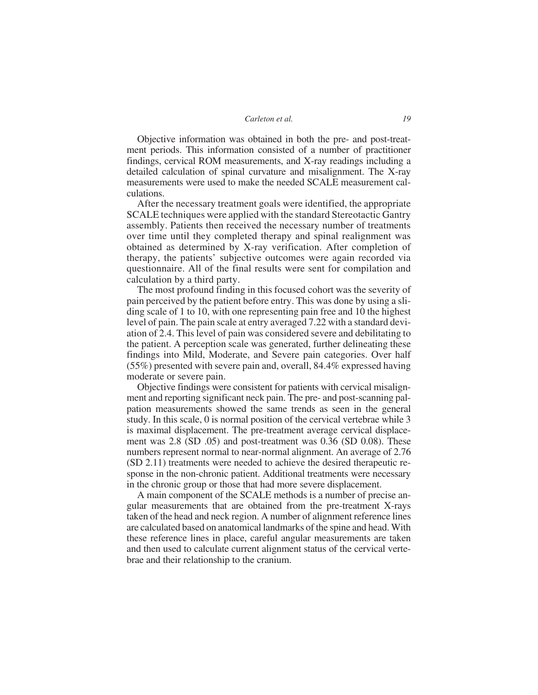*Carleton et al. 19*

Objective information was obtained in both the pre- and post-treatment periods. This information consisted of a number of practitioner findings, cervical ROM measurements, and X-ray readings including a detailed calculation of spinal curvature and misalignment. The X-ray measurements were used to make the needed SCALE measurement calculations.

After the necessary treatment goals were identified, the appropriate SCALE techniques were applied with the standard Stereotactic Gantry assembly. Patients then received the necessary number of treatments over time until they completed therapy and spinal realignment was obtained as determined by X-ray verification. After completion of therapy, the patients' subjective outcomes were again recorded via questionnaire. All of the final results were sent for compilation and calculation by a third party.

The most profound finding in this focused cohort was the severity of pain perceived by the patient before entry. This was done by using a sliding scale of 1 to 10, with one representing pain free and 10 the highest level of pain. The pain scale at entry averaged 7.22 with a standard deviation of 2.4. This level of pain was considered severe and debilitating to the patient. A perception scale was generated, further delineating these findings into Mild, Moderate, and Severe pain categories. Over half (55%) presented with severe pain and, overall, 84.4% expressed having moderate or severe pain.

Objective findings were consistent for patients with cervical misalignment and reporting significant neck pain. The pre- and post-scanning palpation measurements showed the same trends as seen in the general study. In this scale, 0 is normal position of the cervical vertebrae while 3 is maximal displacement. The pre-treatment average cervical displacement was 2.8 (SD .05) and post-treatment was 0.36 (SD 0.08). These numbers represent normal to near-normal alignment. An average of 2.76 (SD 2.11) treatments were needed to achieve the desired therapeutic response in the non-chronic patient. Additional treatments were necessary in the chronic group or those that had more severe displacement.

A main component of the SCALE methods is a number of precise angular measurements that are obtained from the pre-treatment X-rays taken of the head and neck region. A number of alignment reference lines are calculated based on anatomical landmarks of the spine and head. With these reference lines in place, careful angular measurements are taken and then used to calculate current alignment status of the cervical vertebrae and their relationship to the cranium.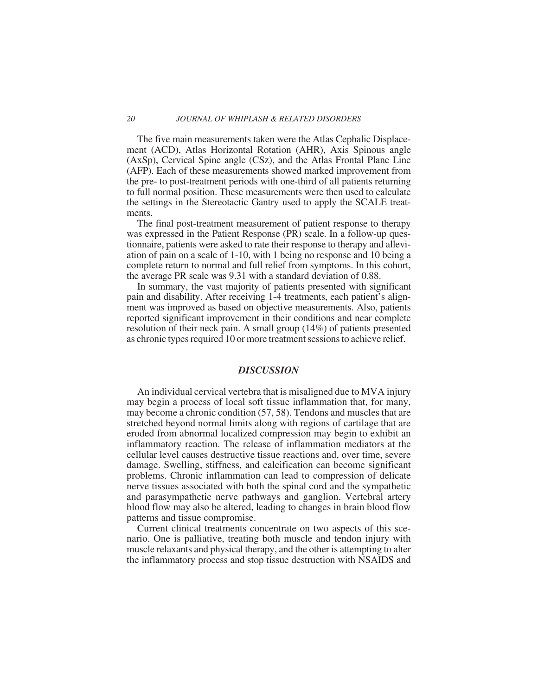#### *20 JOURNAL OF WHIPLASH & RELATED DISORDERS*

The five main measurements taken were the Atlas Cephalic Displacement (ACD), Atlas Horizontal Rotation (AHR), Axis Spinous angle (AxSp), Cervical Spine angle (CSz), and the Atlas Frontal Plane Line (AFP). Each of these measurements showed marked improvement from the pre- to post-treatment periods with one-third of all patients returning to full normal position. These measurements were then used to calculate the settings in the Stereotactic Gantry used to apply the SCALE treatments.

The final post-treatment measurement of patient response to therapy was expressed in the Patient Response (PR) scale. In a follow-up questionnaire, patients were asked to rate their response to therapy and alleviation of pain on a scale of 1-10, with 1 being no response and 10 being a complete return to normal and full relief from symptoms. In this cohort, the average PR scale was 9.31 with a standard deviation of 0.88.

In summary, the vast majority of patients presented with significant pain and disability. After receiving 1-4 treatments, each patient's alignment was improved as based on objective measurements. Also, patients reported significant improvement in their conditions and near complete resolution of their neck pain. A small group (14%) of patients presented as chronic types required 10 or more treatment sessions to achieve relief.

## *DISCUSSION*

An individual cervical vertebra that is misaligned due to MVA injury may begin a process of local soft tissue inflammation that, for many, may become a chronic condition (57, 58). Tendons and muscles that are stretched beyond normal limits along with regions of cartilage that are eroded from abnormal localized compression may begin to exhibit an inflammatory reaction. The release of inflammation mediators at the cellular level causes destructive tissue reactions and, over time, severe damage. Swelling, stiffness, and calcification can become significant problems. Chronic inflammation can lead to compression of delicate nerve tissues associated with both the spinal cord and the sympathetic and parasympathetic nerve pathways and ganglion. Vertebral artery blood flow may also be altered, leading to changes in brain blood flow patterns and tissue compromise.

Current clinical treatments concentrate on two aspects of this scenario. One is palliative, treating both muscle and tendon injury with muscle relaxants and physical therapy, and the other is attempting to alter the inflammatory process and stop tissue destruction with NSAIDS and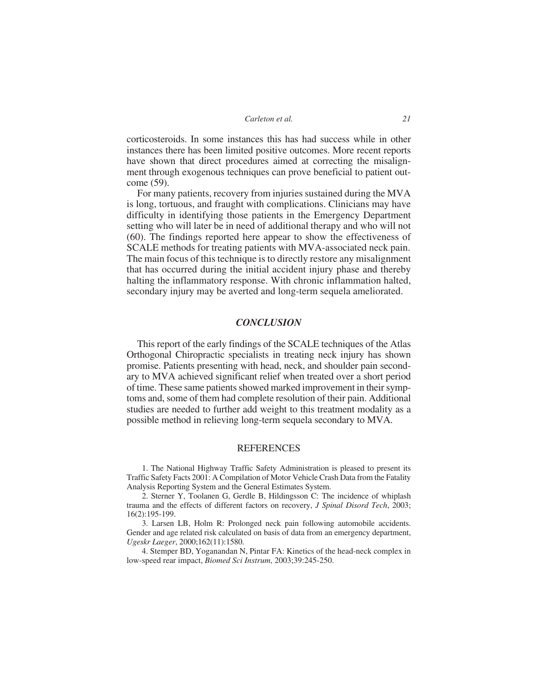*Carleton et al. 21*

corticosteroids. In some instances this has had success while in other instances there has been limited positive outcomes. More recent reports have shown that direct procedures aimed at correcting the misalignment through exogenous techniques can prove beneficial to patient outcome (59).

For many patients, recovery from injuries sustained during the MVA is long, tortuous, and fraught with complications. Clinicians may have difficulty in identifying those patients in the Emergency Department setting who will later be in need of additional therapy and who will not (60). The findings reported here appear to show the effectiveness of SCALE methods for treating patients with MVA-associated neck pain. The main focus of this technique is to directly restore any misalignment that has occurred during the initial accident injury phase and thereby halting the inflammatory response. With chronic inflammation halted, secondary injury may be averted and long-term sequela ameliorated.

### *CONCLUSION*

This report of the early findings of the SCALE techniques of the Atlas Orthogonal Chiropractic specialists in treating neck injury has shown promise. Patients presenting with head, neck, and shoulder pain secondary to MVA achieved significant relief when treated over a short period of time. These same patients showed marked improvement in their symptoms and, some of them had complete resolution of their pain. Additional studies are needed to further add weight to this treatment modality as a possible method in relieving long-term sequela secondary to MVA.

# REFERENCES

1. The National Highway Traffic Safety Administration is pleased to present its Traffic Safety Facts 2001: A Compilation of Motor Vehicle Crash Data from the Fatality Analysis Reporting System and the General Estimates System.

2. Sterner Y, Toolanen G, Gerdle B, Hildingsson C: The incidence of whiplash trauma and the effects of different factors on recovery, *J Spinal Disord Tech*, 2003; 16(2):195-199.

3. Larsen LB, Holm R: Prolonged neck pain following automobile accidents. Gender and age related risk calculated on basis of data from an emergency department, *Ugeskr Laeger*, 2000;162(11):1580.

4. Stemper BD, Yoganandan N, Pintar FA: Kinetics of the head-neck complex in low-speed rear impact, *Biomed Sci Instrum*, 2003;39:245-250.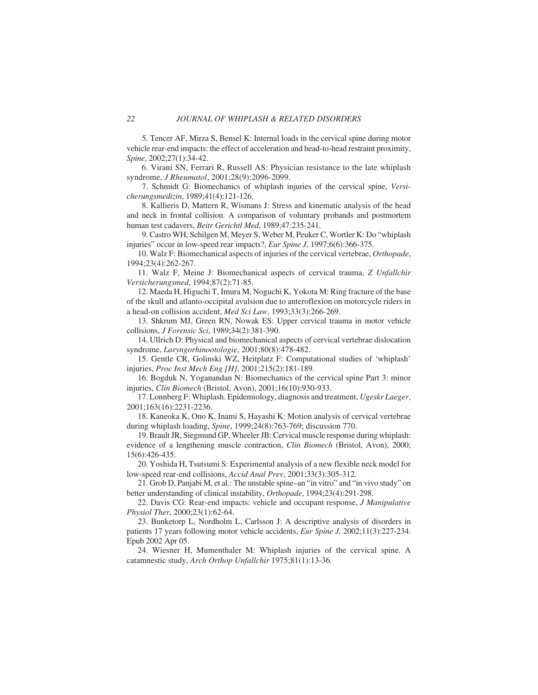5. Tencer AF, Mirza S, Bensel K: Internal loads in the cervical spine during motor vehicle rear-end impacts: the effect of acceleration and head-to-head restraint proximity, *Spine*, 2002;27(1):34-42.

6. Virani SN, Ferrari R, Russell AS: Physician resistance to the late whiplash syndrome, *J Rheumatol*, 2001;28(9):2096-2099.

7. Schmidt G: Biomechanics of whiplash injuries of the cervical spine, *Versicherungsmedizin*, 1989;41(4):121-126.

8. Kallieris D, Mattern R, Wismans J: Stress and kinematic analysis of the head and neck in frontal collision. A comparison of voluntary probands and postmortem human test cadavers, *Beitr Gerichtl Med*, 1989;47:235-241.

9. Castro WH, Schilgen M, Meyer S, Weber M, Peuker C, Wortler K: Do "whiplash injuries" occur in low-speed rear impacts?, *Eur Spine J*, 1997;6(6):366-375.

10. Walz F: Biomechanical aspects of injuries of the cervical vertebrae, *Orthopade*, 1994;23(4):262-267.

11. Walz F, Meine J: Biomechanical aspects of cervical trauma, *Z Unfallchir Versicherungsmed*, 1994;87(2):71-85.

12. Maeda H, Higuchi T, Imura M, Noguchi K, Yokota M: Ring fracture of the base of the skull and atlanto-occipital avulsion due to anteroflexion on motorcycle riders in a head-on collision accident, *Med Sci Law*, 1993;33(3):266-269.

13. Shkrum MJ, Green RN, Nowak ES: Upper cervical trauma in motor vehicle collisions, *J Forensic Sci*, 1989;34(2):381-390.

14. Ullrich D: Physical and biomechanical aspects of cervical vertebrae dislocation syndrome, *Laryngorhinootologie*, 2001;80(8):478-482.

15. Gentle CR, Golinski WZ, Heitplatz F: Computational studies of 'whiplash' injuries, *Proc Inst Mech Eng [H]*, 2001;215(2):181-189.

16. Bogduk N, Yoganandan N: Biomechanics of the cervical spine Part 3: minor injuries, *Clin Biomech* (Bristol, Avon), 2001;16(10):930-933.

17. Lonnberg F: Whiplash. Epidemiology, diagnosis and treatment, *Ugeskr Laeger*, 2001;163(16):2231-2236.

18. Kaneoka K, Ono K, Inami S, Hayashi K: Motion analysis of cervical vertebrae during whiplash loading, *Spine*, 1999;24(8):763-769; discussion 770.

19. Brault JR, Siegmund GP, Wheeler JB: Cervical muscle response during whiplash: evidence of a lengthening muscle contraction, *Clin Biomech* (Bristol, Avon), 2000; 15(6):426-435.

20. Yoshida H, Tsutsumi S: Experimental analysis of a new flexible neck model for low-speed rear-end collisions, *Accid Anal Prev*, 2001;33(3):305-312.

21. Grob D, Panjabi M, et al.: The unstable spine–an "in vitro" and "in vivo study" on better understanding of clinical instability, *Orthopade*, 1994;23(4):291-298.

22. Davis CG: Rear-end impacts: vehicle and occupant response, *J Manipulative Physiol Ther*, 2000;23(1):62-64.

23. Bunketorp L, Nordholm L, Carlsson J: A descriptive analysis of disorders in patients 17 years following motor vehicle accidents, *Eur Spine J,* 2002;11(3):227-234. Epub 2002 Apr 05.

24. Wiesner H, Mumenthaler M: Whiplash injuries of the cervical spine. A catamnestic study, *Arch Orthop Unfallchir* 1975;81(1):13-36*.*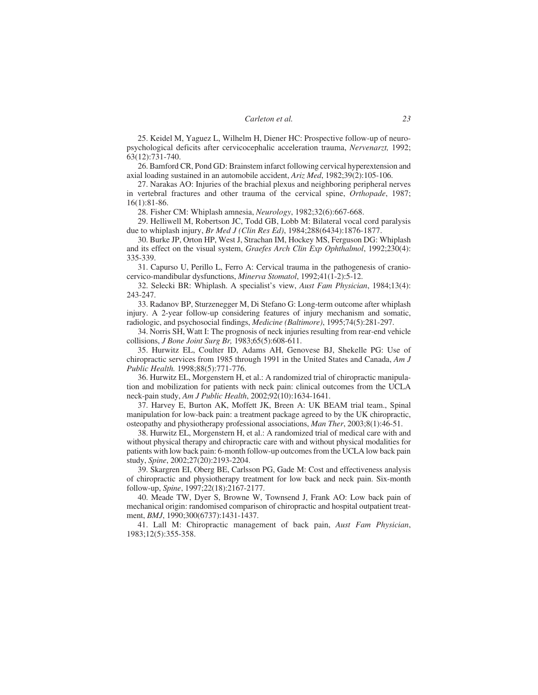25. Keidel M, Yaguez L, Wilhelm H, Diener HC: Prospective follow-up of neuropsychological deficits after cervicocephalic acceleration trauma, *Nervenarzt,* 1992; 63(12):731-740.

26. Bamford CR, Pond GD: Brainstem infarct following cervical hyperextension and axial loading sustained in an automobile accident, *Ariz Med*, 1982;39(2):105-106.

27. Narakas AO: Injuries of the brachial plexus and neighboring peripheral nerves in vertebral fractures and other trauma of the cervical spine, *Orthopade*, 1987; 16(1):81-86.

28. Fisher CM: Whiplash amnesia, *Neurology*, 1982;32(6):667-668.

29. Helliwell M, Robertson JC, Todd GB, Lobb M: Bilateral vocal cord paralysis due to whiplash injury, *Br Med J (Clin Res Ed)*, 1984;288(6434):1876-1877.

30. Burke JP, Orton HP, West J, Strachan IM, Hockey MS, Ferguson DG: Whiplash and its effect on the visual system, *Graefes Arch Clin Exp Ophthalmol*, 1992;230(4): 335-339.

31. Capurso U, Perillo L, Ferro A: Cervical trauma in the pathogenesis of craniocervico-mandibular dysfunctions, *Minerva Stomatol*, 1992;41(1-2):5-12.

32. Selecki BR: Whiplash. A specialist's view, *Aust Fam Physician*, 1984;13(4): 243-247.

33. Radanov BP, Sturzenegger M, Di Stefano G: Long-term outcome after whiplash injury. A 2-year follow-up considering features of injury mechanism and somatic, radiologic, and psychosocial findings, *Medicine (Baltimore)*, 1995;74(5):281-297.

34. Norris SH, Watt I: The prognosis of neck injuries resulting from rear-end vehicle collisions, *J Bone Joint Surg Br,* 1983;65(5):608-611.

35. Hurwitz EL, Coulter ID, Adams AH, Genovese BJ, Shekelle PG: Use of chiropractic services from 1985 through 1991 in the United States and Canada, *Am J Public Health.* 1998;88(5):771-776.

36. Hurwitz EL, Morgenstern H, et al.: A randomized trial of chiropractic manipulation and mobilization for patients with neck pain: clinical outcomes from the UCLA neck-pain study, *Am J Public Health*, 2002;92(10):1634-1641.

37. Harvey E, Burton AK, Moffett JK, Breen A: UK BEAM trial team., Spinal manipulation for low-back pain: a treatment package agreed to by the UK chiropractic, osteopathy and physiotherapy professional associations, *Man Ther*, 2003;8(1):46-51.

38. Hurwitz EL, Morgenstern H, et al.: A randomized trial of medical care with and without physical therapy and chiropractic care with and without physical modalities for patients with low back pain: 6-month follow-up outcomes from the UCLA low back pain study, *Spine*, 2002;27(20):2193-2204.

39. Skargren EI, Oberg BE, Carlsson PG, Gade M: Cost and effectiveness analysis of chiropractic and physiotherapy treatment for low back and neck pain. Six-month follow-up, *Spine*, 1997;22(18):2167-2177.

40. Meade TW, Dyer S, Browne W, Townsend J, Frank AO: Low back pain of mechanical origin: randomised comparison of chiropractic and hospital outpatient treatment, *BMJ*, 1990;300(6737):1431-1437.

41. Lall M: Chiropractic management of back pain, *Aust Fam Physician*, 1983;12(5):355-358.